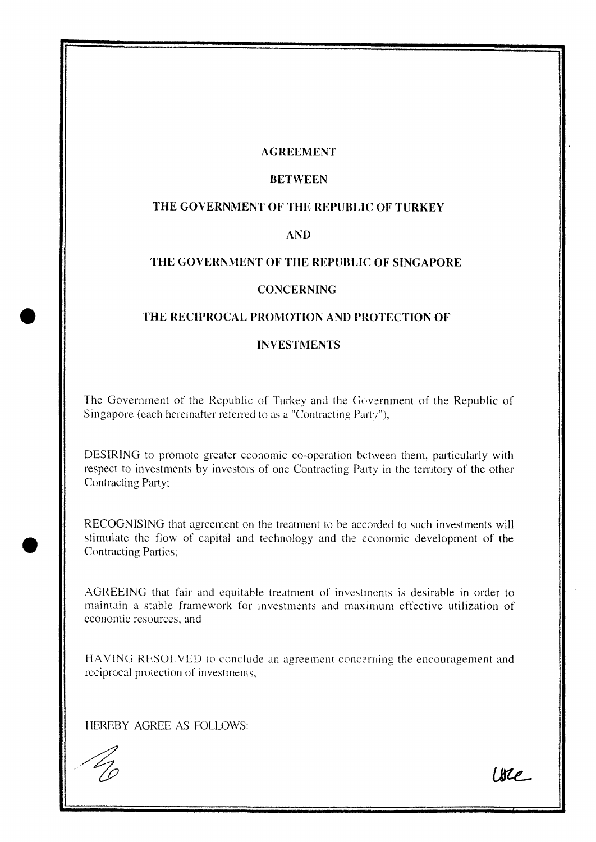### **AGREEMENT**

# **BETWEEN**

# **THE GOVERNMENT OF THE REPUBLIC OF TURKEY**

### **AND**

# **THE GOVERNMENT OF THE REPUBLIC OF SINGAPORE**

#### **CONCERNING**

# THE RECIPROCAL PROMOTION AND PROTECTION OF

#### **INVESTMENTS**

The Government of the Republic of Turkey and the Government of the Republic of Singapore (each hereinafter referred to as a "Contracting Party"),

DESIRING to promote greater economic co-operation between them, particularly with respect to investments by investors of one Contracting Party in the territory of the other Contracting Party;

RECOGNISING that agreement on the treatment to be accorded to such investments will stimulate the flow of capital and technology and the economic development of the Contracting Parties;

AGREEING that fair and equitable treatment of investments is desirable in order to maintain a stable framework for investments and maximum effective utilization of economic resources, and

HAVING RESOLVED to conclude an agreement concerning the encouragement and reciprocal protection of investments,

HEREBY AGREE AS FOLLOWS:

Ure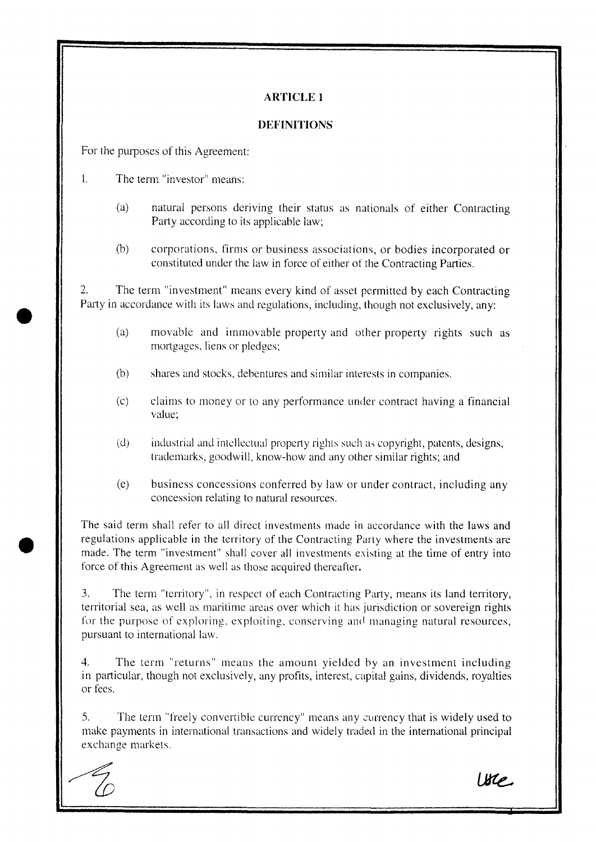### **DEFINITIONS**

For the purposes of this Agreement:

L The term "investor" means:

- (a) natural persons deriving their status as nationals of either Contracting Party according to its applicable law;
- (b) corporations, firms or business associations, or bodies incorporated or constituted under the law in force of either of the Contracting Parties.

2. The term "investment" means every kind of asset permitted by each Contracting Party in accordance with its laws and regulations, including, though not exclusively, any:

- (a) movable and immovable property and other property rights such as mortgages, liens or pledges;
- (b) shares and stocks, debentures and similar interests in companies.
- (c) claims to money or to any performance under contract having a financial value;
- (d) industrial and intellectual property rights such as copyright, patents, designs, trademarks, goodwill, know-how and any other similar rights; and
- (e) business concessions conferred by law or under contract, including any concession relating to natural resources.

The said term shall refer to all direct investments made in accordance with the laws and regulations applicable in the territory of the Contracting Party where the investments are made. The term "investment" shall cover all investments existing at the time of entry into force of this Agreement as well as those acquired thereafter.

3. The term "territory", in respect of each Contracting Party, means its land territory, territorial sea, as well as maritime areas over which it has jurisdiction or sovereign rights for the purpose of exploring, exploiting, conserving and managing natural resources, pursuant to international law.

4. The term "returns" means the amount yielded by an investment including in particular, though not exclusively, any profits, interest, capital gains, dividends, royalties or fees.

*S.* The term "freely convertible currency" means any 2urrency that is widely used to make payments in international transactions and widely traded in the international principal exchange markets.

Ure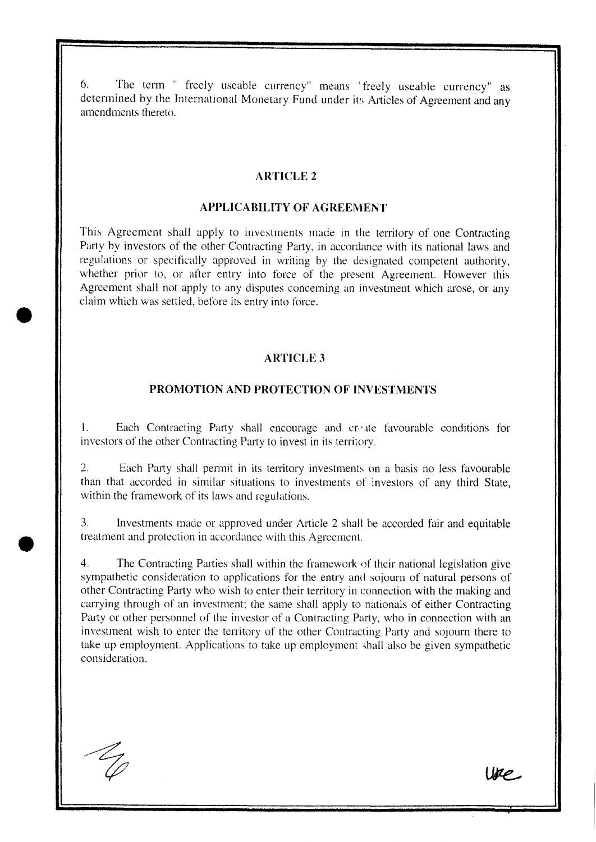6. The term " freely useable currency" means 'freely useable currency" as determined by the International Monetary Fund under its Articles of Agreement and any amendments thereto.

### **ARTICLE 2**

### **APPLICABILITY OF AGREEMENT**

This Agreement shall apply to investments made in the territory of one Contracting Party by investors of the other Contracting Party, in accordance with its national laws and regulations or specifically approved in writing by the designated competent authority, whether prior to, or after entry into force of the present Agreement. However this Agreement shall not apply to any disputes concerning an investment which arose, or any claim which was settled, before its entry into force.

# **ARTICLE 3**

### **PROMOTION AND PROTECTION OF INVESTMENTS**

1. Each Contracting Patty shall encourage and cr' *ite* favourable conditions for investors of the other Contracting Patty to invest in its territory.

2. Each Pany shall permit in its territory investments on a basis no less favourable than that accorded in similar situations to investments of investors of any third State, within the framework of its laws and regulations.

3. Investments made or approved under Ankle 2 shall be accorded fair and equitable treatment and protection in accordance with this Agreement.

4. The Contracting Parties shall within the framework of their national legislation give sympathetic consideration to applications for the entry and sojourn of natural persons of other Contracting Pany who wish to enter their territory in connection with the making and carrying through of an investment; the same shall apply to nationals of either Contracting Party or other personnel of the investor of a Contracting Party, who in connection with an investment wish to enter the territory of the other Contracting Party and sojourn there to take up employment. Applications to take up employment shall also be given sympathetic consideration.

Ure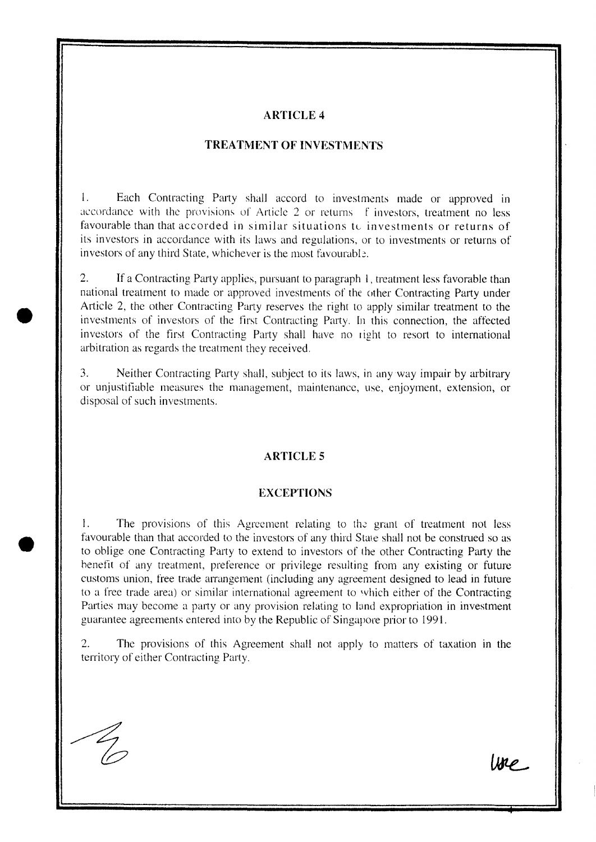### **TREA TMENT OF INVESTMENTS**

1. Each Contracting Party shall accord to investments made or approved in accordance with the provisions of Article 2 or returns f investors, treatment no less favourable than that accorded in similar situations to investments or returns of its investors in accordance with its laws and regulations, or to investments or returns of investors of any third State, whichever is the most favourable.

2. If a Contracting Party applies, pursuant to paragraph I, treatment less favorable than national treatment to made or approved investments of the other Contracting Party under Article 2, the other Contracting Party reserves the right to apply similar treatment to the investments of investors of the first Contracting Party. In this connection, the affected investors of the first Contracting Party shall have no right to resort to international arbitration as regards the treatment they received.

3. Neither Contracting Party shall, subject to its laws, in any way impair by arbitrary or unjustifiable measures the management, maintenance, use, enjoyment, extension, or disposal of such investments.

# **ARTICLES**

#### **EXCEPTIONS**

1. The provisions of this Agreement relating to the grant of treatment not less favourable than that accorded to the investors of any third State shall not be construed so as to oblige one Contracting Party to extend to investors of the other Contracting Patty the henefit of any treatment, preference or privilege resulting from any existing or future customs union, free trade arrangement (including any agreement designed to lead in future to a free trade area) or similar international agreement to which either of the Contracting Parties may become a party or any provision relating to land expropriation in investment guarantee agreements entered into by the Republic of Singapore prior to 1991.

2. The provisions of this Agreement shall not apply to matters of taxation in the territory of either Contracting Party.

•

•

line.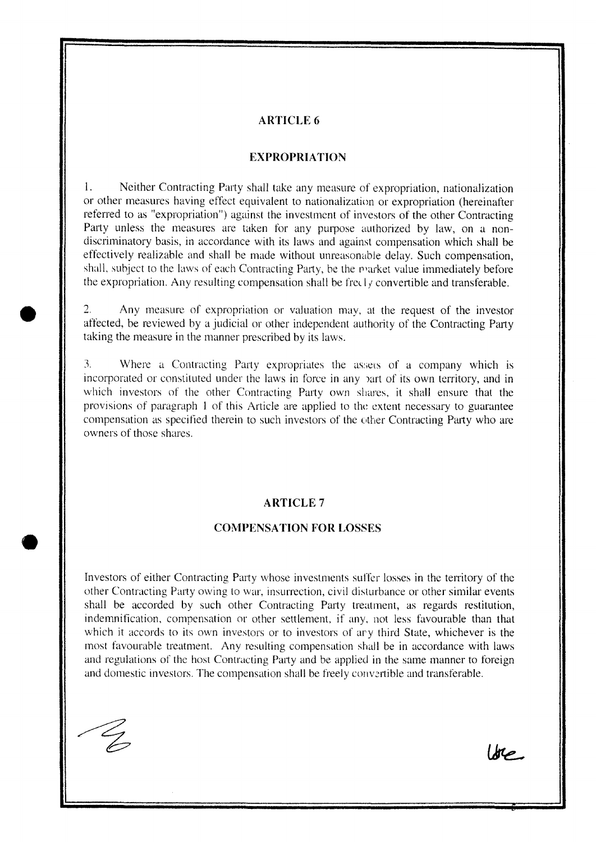#### **EXPROPRIATION**

1. Neither Contracting Party shall take any measure of expropriation, nationalization or other measures having effect equivalent to nationalization or expropriation (hereinafter referred to as "expropriation") against the investment of investors of the other Contracting Party unless the measures are taken for any purpose authorized by law, on a nondiscriminatory basis, in accordance with its laws and against compensation which shall be effectively realizable and shall be made without unreasonable delay. Such compensation, shall, subject to the laws of each Contracting Party, be the prarket value immediately before the expropriation. Any resulting compensation shall be freel  $\gamma$  convertible and transferable.

2. Any measure of expropriation or valuation may, at the request of the investor affected, be reviewed by a judicial or other independent authority of the Contracting Party taking the measure in the manner prescribed by its laws.

3. Where a Contracting Party expropriates the assets of a company which is incorporated or constituted under the laws in force in any )art of its own territory, and in which investors of the other Contracting Party own shares. it shall ensure that the provisions of paragraph 1 of this Article are applied to the extent necessary to guarantee compensation as specified therein to such investors of the other Contracting Party who are owners of those shares.

#### **ARTICLE 7**

#### **COMPENSATION FOR LOSSES**

Investors of either Contracting Party whose investments suffer losses in the territory of the other Contracting Party owing to war, insurrection, civil disturbance or other similar events shall be accorded by such other Contracting Party treatment, as regards restitution, indemnification, compensation or other settlement, if any, not less favourable than that which it accords to its own investors or to investors of ary third State, whichever is the most favourable treatment. Any resulting compensation shall be in accordance with laws and regulations of the host Contracting Party and be applied in the same manner to foreign and domestic investors. The compensation shall be freely convertible and transferable.

•

Ure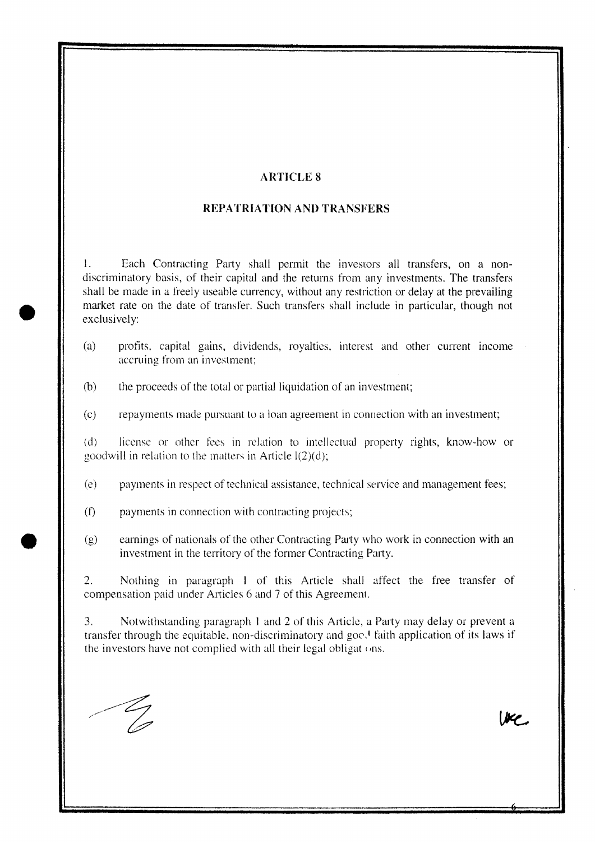### **REPATRIATION AND TRANSFERS**

1. Each Contracting Party shall permit the investors all transfers, on a nondiscriminatory basis, of their capital and the returns from any investments. The transfers shall be made in a freely useable currency, without any restriction or delay at the prevailing market rate on the date of transfer. Such transfers shall include in particular, though not exclusively:

- (a) profits, capital gains, dividends, royalties, interest and other current income accruing from an investment;
- (b) the proceeds of the total or partial liquidation of an investment;
- (c) repayments macle pursuant to a loan agreement in connection with an investment;

(d) license or other fees in relation to intellectual property rights, know-how or goodwill in relation to the matters in Article  $l(2)(d)$ ;

(e) payments in respect of technical assistance, technical service and management fees;

- (f) payments in connection with contracting projects;
- (g) earnings of nationals of the other Contracting Party who work in connection with an investment in the territory of the former Contracting Party.

2. Nothing in paragraph I of this Article shall affect the free transfer of compensation paid under Articles 6 and 7 of this Agreement.

3. Notwithstanding paragraph 1 and 2 of this Article, a Party may delay or prevent a transfer through the equitable, non-discriminatory and goc $\cdot$  faith application of its laws if the investors have not complied with all their legal obligat  $\circ$ ns.

We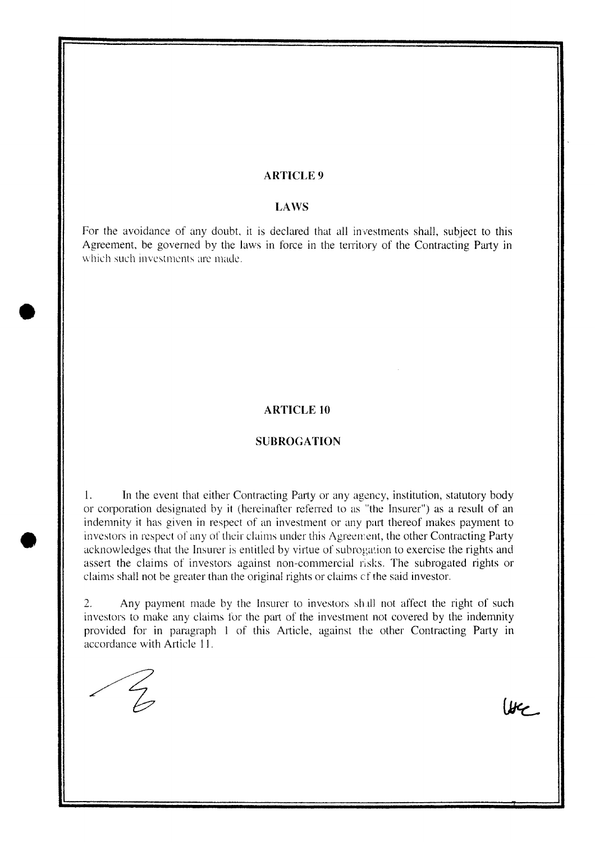### **LAWS**

For the avoidance of any doubt, it is declared that all investments shall, subject to this Agreement, be governed by the laws in force in the territory of the Contracting Party in which such investments are made.

### **ARTICLE 10**

#### **SUBROGA TION**

1. In the event that either Contracting Party or any agency, institution, statutory body or corporation designated by it (hereinafter referred to as "the Insurer") as a result of an indemnity it has given in respect of an investment or any part thereof makes payment to investors in respect of any of their claims under this Agreement, the other Contracting Party acknowledges that the Insurer is entitled by virtue of subrogation to exercise the rights and assert the claims of investors against non-commercial risks. The subrogated rights or claims shall not be greater than the original rights or claims cf the said investor.

2. Any payment made by the Insurer to investors shall not affect the right of such investors to make any claims for the part of the investment not covered by the indemnity provided for in paragraph I of this Article, against the other Contracting Party **in**  accordance with Article 11.

 $\frac{2}{3}$ 

 $U^{\prime}$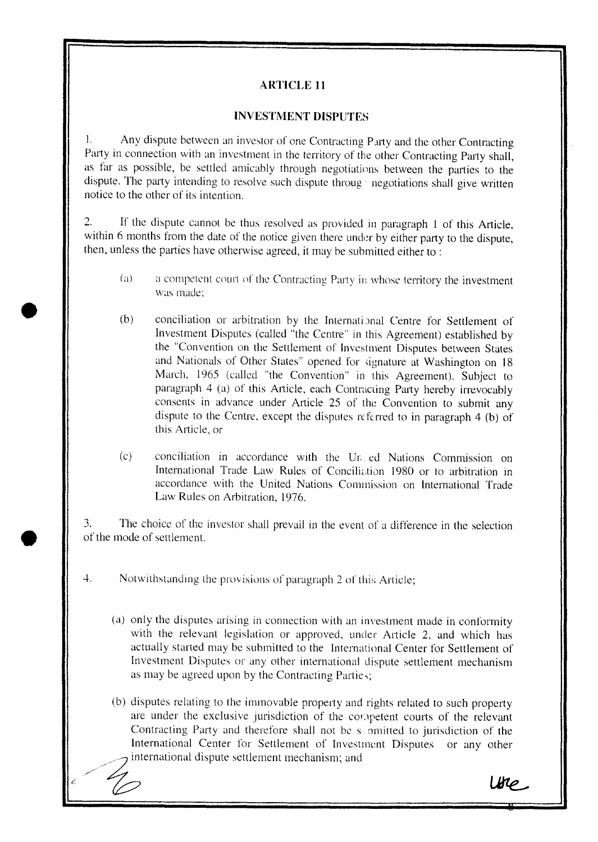### **INVESTMENT DISPUTES**

1. Any dispute between an investor of one Contracting Party and the other Contracting Party in connection with an investment in the territory of the other Contracting Party shall, as far as possible, be settled amicably through negotiations between the patties to the dispute. The party intending to resolve such dispute throug negotiations shall give written notice to the other of its intention.

2. If the dispute cannot be thus resolved as provided in paragraph I of this Article, within 6 months from the date of the notice given there under by either party to the dispute, then, unless the parties have otherwise agreed, it may be submitted either to :

- (a) a competent court of the Contracting Party in whose territory the investment was made;
- (b) conciliation or arbitration by the International Centre for Settlement of Investment Disputes (called "the Centre" in this Agreement) established by the "Convention on the Settlement of Investment Disputes between States and Nationals of Other States" opened for signature at Washington on 18 March, 1965 (called "the Convention" in this Agreement). Subject to paragraph 4 (a) of this Article, each Contracting Party hereby irrevocably consents in advance under Article 25 of the Convention to submit any dispute to the Ccntre, except the disputes referred to in paragraph 4 (b) of this Article, or
- (c) conciliation in accordance with the Ur,. ed Nations Commission on International Trade Law Rules of Conciliation 1980 or to arbitration in accordance with the United Nations Commission on International Trade Law Rules on Arbitration, 1976.

3. The choice of the investor shall prevail in the event of a difference in the selection of the mode of settlement.

4. Notwithstanding the provisions of paragraph 2 of this Article;

- (a) only the disputes arising in connection with an investment made in conformity with the relevant legislation or approved, under Article 2, and which has actually started may be submitted to the International Center for Settlement of Investment Disputes or any other international dispute settlement mechanism as may be agreed upon by the Contracting Parties;
- (b) disputes relating to the immovable property and rights related to such property are under the exclusive jurisdiction of the competent courts of the relevant Contracting Party and therefore shall not be s omitted to jurisdiction of the International Center for Settlement of Investment Disputes or any other international dispute settlement mechanism; and

 $\mathcal{L}$  /2  $\mathcal{L}$  /2  $\mathcal{L}$  /2  $\mathcal{L}$  /2  $\mathcal{L}$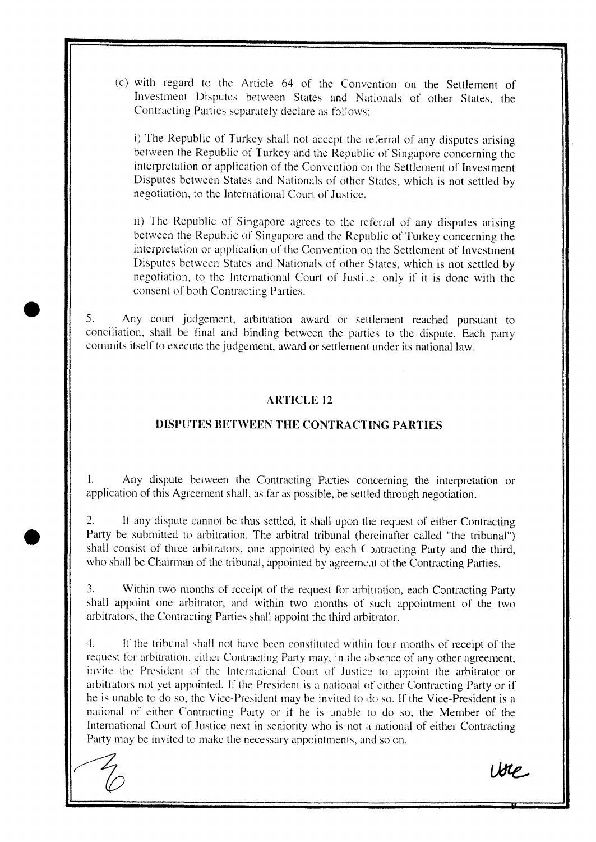(c) with regard to the Article 64 of the Convention on the Settlement of Investment Disputes between States and Nationals of other States, the Contracting Parties separately declare as follows:

i) The Republic of Turkey shall not accept the referral of any disputes arising between the Republic of Turkey and the Republic of Singapore concerning the interpretation or application of the Convention on the Settlement of Investment Disputes between States and Nationals of other States, which is not settled by negotiation, to the International Court of Justice.

ii) The Republic of Singapore agrees to the referral of any disputes arising between the Republic of Singapore and the Republic of Turkey concerning the interpretation or application of the Convention on the Settlement of Investment Disputes between States and Nationals of other States, which is not settled by negotiation, to the International Court of Justice, only if it is done with the consent of both Contracting Parties,

5. Any court judgement, arbitration award or settlement reached pursuant to conciliation, shall be final and binding between the parties to the dispute. Each party commits itself to execute the judgement, award or settlement under its national law.

### **ARTICLE 12**

### **DISPUTES BETWEEN THE CONTRACTING PARTIES**

1. Any dispute between the Contracting Parties concerning the interpretation or application of this Agreement shall, as far as possible, be settled through negotiation.

2. If any dispute cannot be thus settled, it shall upon the request of either Contracting Party be submitted to arbitration. The arbitral tribunal (hereinafter called "the tribunal") shall consist of three arbitrators, one appointed by each Contracting Party and the third, who shall be Chairman of the tribunal, appointed by agreement of the Contracting Parties.

3. Within two months of receipt of the request for arbitration, each Contracting Party shall appoint one arbitrator, and within two months of such appointment of the two arbitrators, the Contracting Parties shall appoint the third arbitrator.

4. If the trihunal shall not have been constituted within four months of receipt of the request for arbitration, either Contracting Party may, in the absence of any other agreement, invite the President of the International Court of Justice to appoint the arbitrator or arbitrators not yet appointed. If the President is a national of either Contracting Party or if he is unable to do so, the Vice-President may be invited to do so. If the Vice-President is a national of either Contracting Party or if he is unable to do so, the Member of the International Court of Justice next in seniority who is not a national of either Contracting Party may be invited to make the necessary appointments, and so on.

Ure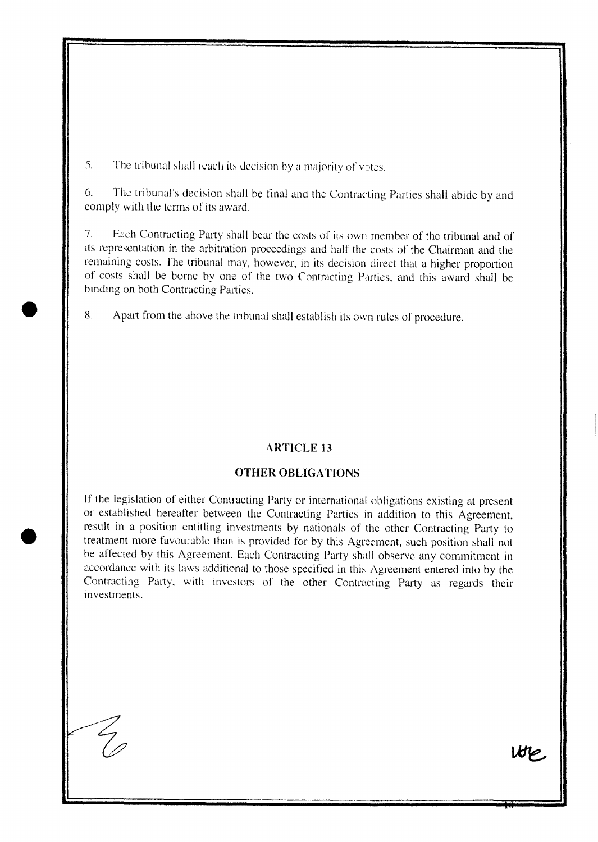$5.$  The tribunal shall reach its decision by a majority of votes,

6. The tribunal's decision shall be final and the Contracting Parties shall abide by and comply with the terms of its award.

7. Each Contracting Party shall bear the costs of its own member of the tribunal and of its representation in the arbitration proceedings and half the costs of the Chairman and the remaining costs. The tribunal may, however, in its decision direct that a higher proportion of costs shall be borne by one of the two Contracting Parties, and this award shaH be binding on both Contracting Parties.

8, Apatt from the above the tribunal shall establish its own rules of procedure.

# **ARTICLE 13**

### **OTHER OBLIGATIONS**

**If** the legislation of either Contracting Party or international obligations existing at present or established hereafter between the Contracting Parties in addition to this Agreement. result in a position entitling investments by nationals of the other Contracting Party to treatment more favourable than is provided for by this Agreement, such position shall not be affected by this Agreement. Each Contracting Party shall observe any commitment in accordance with its laws additional to those specified in this Agreement entered into by the Contracting Party, with investors of the other Contracting Party as regards their investments,

We